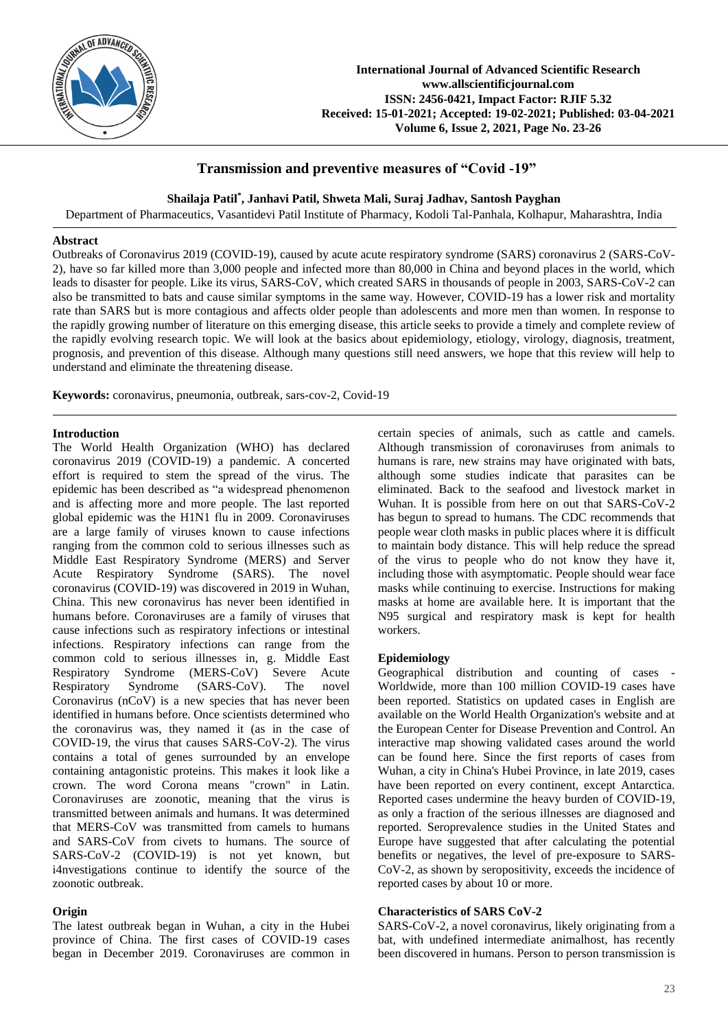

# **Transmission and preventive measures of "Covid -19"**

**Shailaja Patil\* , Janhavi Patil, Shweta Mali, Suraj Jadhav, Santosh Payghan**

Department of Pharmaceutics, Vasantidevi Patil Institute of Pharmacy, Kodoli Tal-Panhala, Kolhapur, Maharashtra, India

### **Abstract**

Outbreaks of Coronavirus 2019 (COVID-19), caused by acute acute respiratory syndrome (SARS) coronavirus 2 (SARS-CoV-2), have so far killed more than 3,000 people and infected more than 80,000 in China and beyond places in the world, which leads to disaster for people. Like its virus, SARS-CoV, which created SARS in thousands of people in 2003, SARS-CoV-2 can also be transmitted to bats and cause similar symptoms in the same way. However, COVID-19 has a lower risk and mortality rate than SARS but is more contagious and affects older people than adolescents and more men than women. In response to the rapidly growing number of literature on this emerging disease, this article seeks to provide a timely and complete review of the rapidly evolving research topic. We will look at the basics about epidemiology, etiology, virology, diagnosis, treatment, prognosis, and prevention of this disease. Although many questions still need answers, we hope that this review will help to understand and eliminate the threatening disease.

**Keywords:** coronavirus, pneumonia, outbreak, sars-cov-2, Covid-19

### **Introduction**

The World Health Organization (WHO) has declared coronavirus 2019 (COVID-19) a pandemic. A concerted effort is required to stem the spread of the virus. The epidemic has been described as "a widespread phenomenon and is affecting more and more people. The last reported global epidemic was the H1N1 flu in 2009. Coronaviruses are a large family of viruses known to cause infections ranging from the common cold to serious illnesses such as Middle East Respiratory Syndrome (MERS) and Server Acute Respiratory Syndrome (SARS). The novel coronavirus (COVID-19) was discovered in 2019 in Wuhan, China. This new coronavirus has never been identified in humans before. Coronaviruses are a family of viruses that cause infections such as respiratory infections or intestinal infections. Respiratory infections can range from the common cold to serious illnesses in, g. Middle East Respiratory Syndrome (MERS-CoV) Severe Acute Respiratory Syndrome (SARS-CoV). The novel Coronavirus (nCoV) is a new species that has never been identified in humans before. Once scientists determined who the coronavirus was, they named it (as in the case of COVID-19, the virus that causes SARS-CoV-2). The virus contains a total of genes surrounded by an envelope containing antagonistic proteins. This makes it look like a crown. The word Corona means "crown" in Latin. Coronaviruses are zoonotic, meaning that the virus is transmitted between animals and humans. It was determined that MERS-CoV was transmitted from camels to humans and SARS-CoV from civets to humans. The source of SARS-CoV-2 (COVID-19) is not yet known, but i4nvestigations continue to identify the source of the zoonotic outbreak.

# **Origin**

The latest outbreak began in Wuhan, a city in the Hubei province of China. The first cases of COVID-19 cases began in December 2019. Coronaviruses are common in certain species of animals, such as cattle and camels. Although transmission of coronaviruses from animals to humans is rare, new strains may have originated with bats, although some studies indicate that parasites can be eliminated. Back to the seafood and livestock market in Wuhan. It is possible from here on out that SARS-CoV-2 has begun to spread to humans. The CDC recommends that people wear cloth masks in public places where it is difficult to maintain body distance. This will help reduce the spread of the virus to people who do not know they have it, including those with asymptomatic. People should wear face masks while continuing to exercise. Instructions for making masks at home are available here. It is important that the N95 surgical and respiratory mask is kept for health workers.

#### **Epidemiology**

Geographical distribution and counting of cases Worldwide, more than 100 million COVID-19 cases have been reported. Statistics on updated cases in English are available on the World Health Organization's website and at the European Center for Disease Prevention and Control. An interactive map showing validated cases around the world can be found here. Since the first reports of cases from Wuhan, a city in China's Hubei Province, in late 2019, cases have been reported on every continent, except Antarctica. Reported cases undermine the heavy burden of COVID-19, as only a fraction of the serious illnesses are diagnosed and reported. Seroprevalence studies in the United States and Europe have suggested that after calculating the potential benefits or negatives, the level of pre-exposure to SARS-CoV-2, as shown by seropositivity, exceeds the incidence of reported cases by about 10 or more.

# **Characteristics of SARS CoV-2**

SARS-CoV-2, a novel coronavirus, likely originating from a bat, with undefined intermediate animalhost, has recently been discovered in humans. Person to person transmission is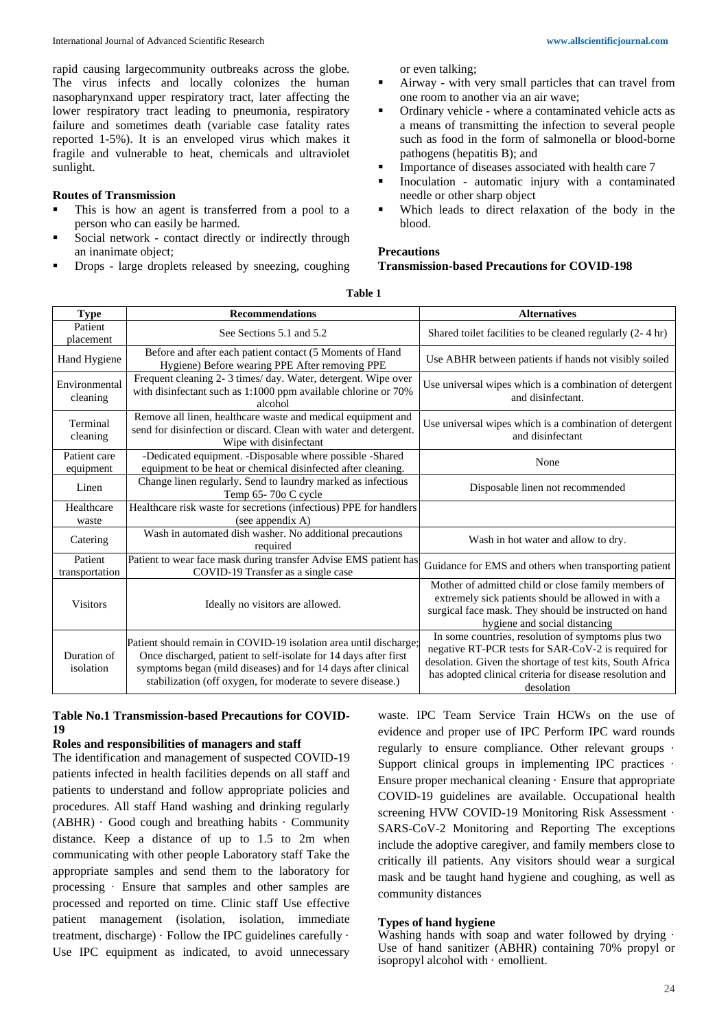rapid causing largecommunity outbreaks across the globe. The virus infects and locally colonizes the human nasopharynxand upper respiratory tract, later affecting the lower respiratory tract leading to pneumonia, respiratory failure and sometimes death (variable case fatality rates reported 1-5%). It is an enveloped virus which makes it fragile and vulnerable to heat, chemicals and ultraviolet sunlight.

### **Routes of Transmission**

- This is how an agent is transferred from a pool to a person who can easily be harmed.
- Social network contact directly or indirectly through an inanimate object;
- Drops large droplets released by sneezing, coughing

or even talking;

- Airway with very small particles that can travel from one room to another via an air wave;
- Ordinary vehicle where a contaminated vehicle acts as a means of transmitting the infection to several people such as food in the form of salmonella or blood-borne pathogens (hepatitis B); and
- Importance of diseases associated with health care 7
- Inoculation automatic injury with a contaminated needle or other sharp object
- Which leads to direct relaxation of the body in the blood.

#### **Precautions**

### **Transmission-based Precautions for COVID-198**

| <b>Type</b>               | <b>Recommendations</b>                                                                                                                                                                                                                                                | <b>Alternatives</b>                                                                                                                                                                                                                              |  |  |
|---------------------------|-----------------------------------------------------------------------------------------------------------------------------------------------------------------------------------------------------------------------------------------------------------------------|--------------------------------------------------------------------------------------------------------------------------------------------------------------------------------------------------------------------------------------------------|--|--|
| Patient<br>placement      | See Sections 5.1 and 5.2                                                                                                                                                                                                                                              | Shared toilet facilities to be cleaned regularly (2-4 hr)                                                                                                                                                                                        |  |  |
| Hand Hygiene              | Before and after each patient contact (5 Moments of Hand<br>Hygiene) Before wearing PPE After removing PPE                                                                                                                                                            | Use ABHR between patients if hands not visibly soiled                                                                                                                                                                                            |  |  |
| Environmental<br>cleaning | Frequent cleaning 2-3 times/day. Water, detergent. Wipe over<br>with disinfectant such as 1:1000 ppm available chlorine or 70%<br>alcohol                                                                                                                             | Use universal wipes which is a combination of detergent<br>and disinfectant.                                                                                                                                                                     |  |  |
| Terminal<br>cleaning      | Remove all linen, healthcare waste and medical equipment and<br>send for disinfection or discard. Clean with water and detergent.<br>Wipe with disinfectant                                                                                                           | Use universal wipes which is a combination of detergent<br>and disinfectant                                                                                                                                                                      |  |  |
| Patient care<br>equipment | -Dedicated equipment. -Disposable where possible -Shared<br>equipment to be heat or chemical disinfected after cleaning.                                                                                                                                              | None                                                                                                                                                                                                                                             |  |  |
| Linen                     | Change linen regularly. Send to laundry marked as infectious<br>Temp 65-70o C cycle                                                                                                                                                                                   | Disposable linen not recommended                                                                                                                                                                                                                 |  |  |
| Healthcare<br>waste       | Healthcare risk waste for secretions (infectious) PPE for handlers<br>(see appendix A)                                                                                                                                                                                |                                                                                                                                                                                                                                                  |  |  |
| Catering                  | Wash in automated dish washer. No additional precautions<br>required                                                                                                                                                                                                  | Wash in hot water and allow to dry.                                                                                                                                                                                                              |  |  |
| Patient<br>transportation | Patient to wear face mask during transfer Advise EMS patient has<br>COVID-19 Transfer as a single case                                                                                                                                                                | Guidance for EMS and others when transporting patient                                                                                                                                                                                            |  |  |
| <b>Visitors</b>           | Ideally no visitors are allowed.                                                                                                                                                                                                                                      | Mother of admitted child or close family members of<br>extremely sick patients should be allowed in with a<br>surgical face mask. They should be instructed on hand<br>hygiene and social distancing                                             |  |  |
| Duration of<br>isolation  | Patient should remain in COVID-19 isolation area until discharge;<br>Once discharged, patient to self-isolate for 14 days after first<br>symptoms began (mild diseases) and for 14 days after clinical<br>stabilization (off oxygen, for moderate to severe disease.) | In some countries, resolution of symptoms plus two<br>negative RT-PCR tests for SAR-CoV-2 is required for<br>desolation. Given the shortage of test kits, South Africa<br>has adopted clinical criteria for disease resolution and<br>desolation |  |  |

# **Table 1**

# **Table No.1 Transmission-based Precautions for COVID-19**

#### **Roles and responsibilities of managers and staff**

The identification and management of suspected COVID-19 patients infected in health facilities depends on all staff and patients to understand and follow appropriate policies and procedures. All staff Hand washing and drinking regularly (ABHR) · Good cough and breathing habits · Community distance. Keep a distance of up to 1.5 to 2m when communicating with other people Laboratory staff Take the appropriate samples and send them to the laboratory for processing · Ensure that samples and other samples are processed and reported on time. Clinic staff Use effective patient management (isolation, isolation, immediate treatment, discharge) · Follow the IPC guidelines carefully · Use IPC equipment as indicated, to avoid unnecessary

waste. IPC Team Service Train HCWs on the use of evidence and proper use of IPC Perform IPC ward rounds regularly to ensure compliance. Other relevant groups · Support clinical groups in implementing IPC practices  $\cdot$ Ensure proper mechanical cleaning · Ensure that appropriate COVID-19 guidelines are available. Occupational health screening HVW COVID-19 Monitoring Risk Assessment · SARS-CoV-2 Monitoring and Reporting The exceptions include the adoptive caregiver, and family members close to critically ill patients. Any visitors should wear a surgical mask and be taught hand hygiene and coughing, as well as community distances

#### **Types of hand hygiene**

Washing hands with soap and water followed by drying  $\cdot$ Use of hand sanitizer (ABHR) containing 70% propyl or isopropyl alcohol with · emollient.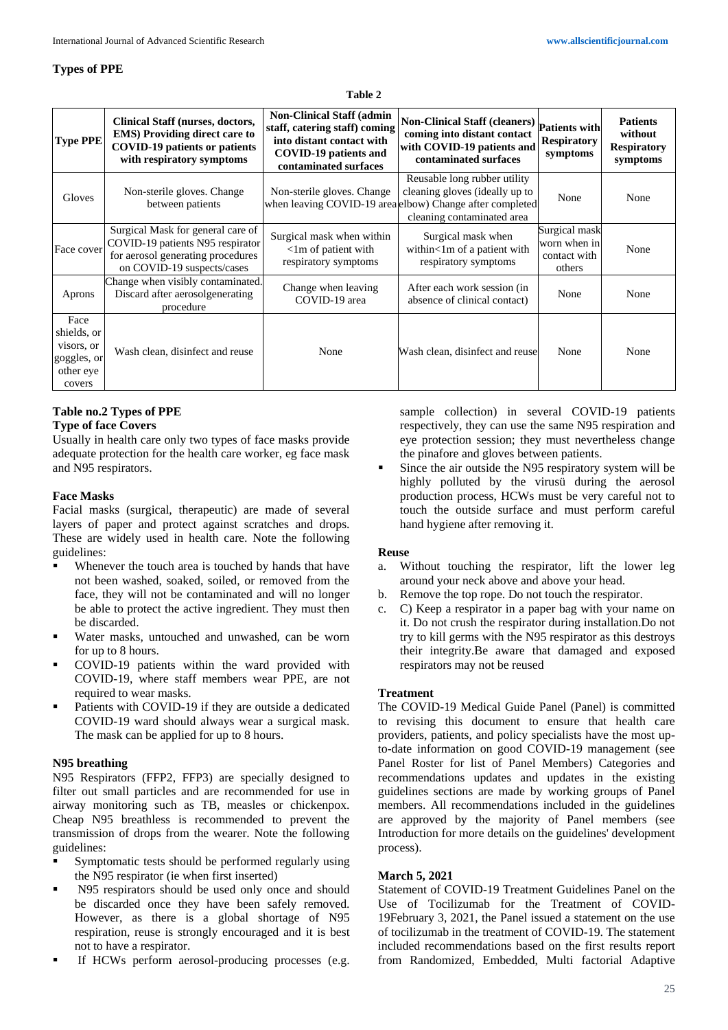### **Types of PPE**

#### **Table 2**

| <b>Type PPE</b>                                                         | <b>Clinical Staff (nurses, doctors,</b><br><b>EMS)</b> Providing direct care to<br><b>COVID-19 patients or patients</b><br>with respiratory symptoms | <b>Non-Clinical Staff (admin)</b><br>staff, catering staff) coming<br>into distant contact with<br><b>COVID-19 patients and</b><br>contaminated surfaces | Non-Clinical Staff (cleaners) Patients with<br>coming into distant contact<br>with COVID-19 patients and<br>contaminated surfaces                        | <b>Respiratory</b><br>symptoms                          | <b>Patients</b><br>without<br><b>Respiratory</b><br>symptoms |
|-------------------------------------------------------------------------|------------------------------------------------------------------------------------------------------------------------------------------------------|----------------------------------------------------------------------------------------------------------------------------------------------------------|----------------------------------------------------------------------------------------------------------------------------------------------------------|---------------------------------------------------------|--------------------------------------------------------------|
| Gloves                                                                  | Non-sterile gloves. Change<br>between patients                                                                                                       | Non-sterile gloves. Change                                                                                                                               | Reusable long rubber utility<br>cleaning gloves (ideally up to<br>when leaving COVID-19 area elbow) Change after completed<br>cleaning contaminated area | None                                                    | None                                                         |
| Face cover                                                              | Surgical Mask for general care of<br>COVID-19 patients N95 respirator<br>for aerosol generating procedures<br>on COVID-19 suspects/cases             | Surgical mask when within<br>$\langle$ 1m of patient with<br>respiratory symptoms                                                                        | Surgical mask when<br>within<1m of a patient with<br>respiratory symptoms                                                                                | Surgical mask<br>worn when in<br>contact with<br>others | None                                                         |
| Aprons                                                                  | Change when visibly contaminated.<br>Discard after aerosolgenerating<br>procedure                                                                    | Change when leaving<br>COVID-19 area                                                                                                                     | After each work session (in<br>absence of clinical contact)                                                                                              | None                                                    | None                                                         |
| Face<br>shields, or<br>visors, or<br>goggles, or<br>other eye<br>covers | Wash clean, disinfect and reuse                                                                                                                      | None                                                                                                                                                     | Wash clean, disinfect and reuse                                                                                                                          | None                                                    | None                                                         |

# **Table no.2 Types of PPE**

### **Type of face Covers**

Usually in health care only two types of face masks provide adequate protection for the health care worker, eg face mask and N95 respirators.

# **Face Masks**

Facial masks (surgical, therapeutic) are made of several layers of paper and protect against scratches and drops. These are widely used in health care. Note the following guidelines:

- Whenever the touch area is touched by hands that have not been washed, soaked, soiled, or removed from the face, they will not be contaminated and will no longer be able to protect the active ingredient. They must then be discarded.
- Water masks, untouched and unwashed, can be worn for up to 8 hours.
- COVID-19 patients within the ward provided with COVID-19, where staff members wear PPE, are not required to wear masks.
- Patients with COVID-19 if they are outside a dedicated COVID-19 ward should always wear a surgical mask. The mask can be applied for up to 8 hours.

# **N95 breathing**

N95 Respirators (FFP2, FFP3) are specially designed to filter out small particles and are recommended for use in airway monitoring such as TB, measles or chickenpox. Cheap N95 breathless is recommended to prevent the transmission of drops from the wearer. Note the following guidelines:

- **Symptomatic tests should be performed regularly using** the N95 respirator (ie when first inserted)
- N95 respirators should be used only once and should be discarded once they have been safely removed. However, as there is a global shortage of N95 respiration, reuse is strongly encouraged and it is best not to have a respirator.
- If HCWs perform aerosol-producing processes (e.g.

sample collection) in several COVID-19 patients respectively, they can use the same N95 respiration and eye protection session; they must nevertheless change the pinafore and gloves between patients.

 Since the air outside the N95 respiratory system will be highly polluted by the virusü during the aerosol production process, HCWs must be very careful not to touch the outside surface and must perform careful hand hygiene after removing it.

# **Reuse**

- a. Without touching the respirator, lift the lower leg around your neck above and above your head.
- b. Remove the top rope. Do not touch the respirator.
- c. C) Keep a respirator in a paper bag with your name on it. Do not crush the respirator during installation.Do not try to kill germs with the N95 respirator as this destroys their integrity.Be aware that damaged and exposed respirators may not be reused

# **Treatment**

The COVID-19 Medical Guide Panel (Panel) is committed to revising this document to ensure that health care providers, patients, and policy specialists have the most upto-date information on good COVID-19 management (see Panel Roster for list of Panel Members) Categories and recommendations updates and updates in the existing guidelines sections are made by working groups of Panel members. All recommendations included in the guidelines are approved by the majority of Panel members (see Introduction for more details on the guidelines' development process).

# **March 5, 2021**

Statement of COVID-19 Treatment Guidelines Panel on the Use of Tocilizumab for the Treatment of COVID-19February 3, 2021, the Panel issued a statement on the use of tocilizumab in the treatment of COVID-19. The statement included recommendations based on the first results report from Randomized, Embedded, Multi factorial Adaptive